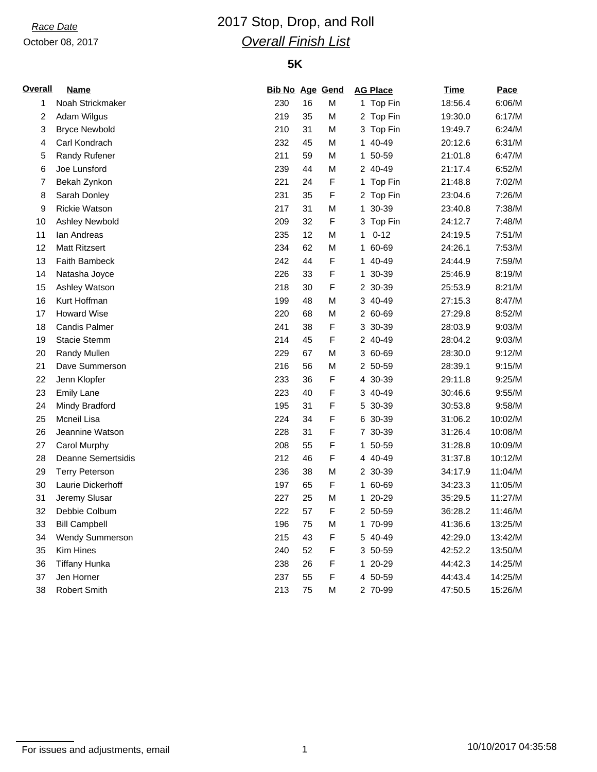### October 08, 2017

## *Race Date* 2017 Stop, Drop, and Roll *Overall Finish List*

### **5K**

| <b>Overall</b> | <b>Name</b>           | <b>Bib No Age Gend</b> |    |             |    | <b>AG Place</b> | <b>Time</b> | Pace    |
|----------------|-----------------------|------------------------|----|-------------|----|-----------------|-------------|---------|
| 1              | Noah Strickmaker      | 230                    | 16 | М           |    | 1 Top Fin       | 18:56.4     | 6:06/M  |
| $\overline{c}$ | Adam Wilgus           | 219                    | 35 | М           |    | 2 Top Fin       | 19:30.0     | 6:17/M  |
| 3              | <b>Bryce Newbold</b>  | 210                    | 31 | Μ           |    | 3 Top Fin       | 19:49.7     | 6:24/M  |
| 4              | Carl Kondrach         | 232                    | 45 | М           |    | 1 40-49         | 20:12.6     | 6:31/M  |
| 5              | Randy Rufener         | 211                    | 59 | М           |    | 1 50-59         | 21:01.8     | 6:47/M  |
| 6              | Joe Lunsford          | 239                    | 44 | М           |    | 2 40-49         | 21:17.4     | 6:52/M  |
| $\overline{7}$ | Bekah Zynkon          | 221                    | 24 | F           |    | 1 Top Fin       | 21:48.8     | 7:02/M  |
| 8              | Sarah Donley          | 231                    | 35 | $\mathsf F$ |    | 2 Top Fin       | 23:04.6     | 7:26/M  |
| 9              | <b>Rickie Watson</b>  | 217                    | 31 | М           |    | 1 30-39         | 23:40.8     | 7:38/M  |
| 10             | Ashley Newbold        | 209                    | 32 | $\mathsf F$ |    | 3 Top Fin       | 24:12.7     | 7:48/M  |
| 11             | lan Andreas           | 235                    | 12 | М           | 1  | $0 - 12$        | 24:19.5     | 7:51/M  |
| 12             | <b>Matt Ritzsert</b>  | 234                    | 62 | М           | 1. | 60-69           | 24:26.1     | 7:53/M  |
| 13             | <b>Faith Bambeck</b>  | 242                    | 44 | $\mathsf F$ |    | 1 40-49         | 24:44.9     | 7:59/M  |
| 14             | Natasha Joyce         | 226                    | 33 | $\mathsf F$ | 1. | 30-39           | 25:46.9     | 8:19/M  |
| 15             | Ashley Watson         | 218                    | 30 | F           |    | 2 30-39         | 25:53.9     | 8:21/M  |
| 16             | Kurt Hoffman          | 199                    | 48 | М           |    | 3 40-49         | 27:15.3     | 8:47/M  |
| 17             | <b>Howard Wise</b>    | 220                    | 68 | М           |    | 2 60-69         | 27:29.8     | 8:52/M  |
| 18             | <b>Candis Palmer</b>  | 241                    | 38 | F           |    | 3 30-39         | 28:03.9     | 9:03/M  |
| 19             | <b>Stacie Stemm</b>   | 214                    | 45 | F           |    | 2 40-49         | 28:04.2     | 9:03/M  |
| 20             | Randy Mullen          | 229                    | 67 | М           |    | 3 60-69         | 28:30.0     | 9:12/M  |
| 21             | Dave Summerson        | 216                    | 56 | М           |    | 2 50-59         | 28:39.1     | 9:15/M  |
| 22             | Jenn Klopfer          | 233                    | 36 | F           |    | 4 30-39         | 29:11.8     | 9:25/M  |
| 23             | <b>Emily Lane</b>     | 223                    | 40 | F           |    | 3 40-49         | 30:46.6     | 9:55/M  |
| 24             | Mindy Bradford        | 195                    | 31 | F           |    | 5 30-39         | 30:53.8     | 9:58/M  |
| 25             | Mcneil Lisa           | 224                    | 34 | $\mathsf F$ |    | 6 30-39         | 31:06.2     | 10:02/M |
| 26             | Jeannine Watson       | 228                    | 31 | $\mathsf F$ |    | 7 30-39         | 31:26.4     | 10:08/M |
| 27             | Carol Murphy          | 208                    | 55 | $\mathsf F$ |    | 1 50-59         | 31:28.8     | 10:09/M |
| 28             | Deanne Semertsidis    | 212                    | 46 | F           |    | 4 40-49         | 31:37.8     | 10:12/M |
| 29             | <b>Terry Peterson</b> | 236                    | 38 | М           |    | 2 30-39         | 34:17.9     | 11:04/M |
| 30             | Laurie Dickerhoff     | 197                    | 65 | F           |    | 1 60-69         | 34:23.3     | 11:05/M |
| 31             | Jeremy Slusar         | 227                    | 25 | М           |    | 1 20-29         | 35:29.5     | 11:27/M |
| 32             | Debbie Colbum         | 222                    | 57 | $\mathsf F$ |    | 2 50-59         | 36:28.2     | 11:46/M |
| 33             | <b>Bill Campbell</b>  | 196                    | 75 | М           |    | 1 70-99         | 41:36.6     | 13:25/M |
| 34             | Wendy Summerson       | 215                    | 43 | F           |    | 5 40-49         | 42:29.0     | 13:42/M |
| 35             | <b>Kim Hines</b>      | 240                    | 52 | F           |    | 3 50-59         | 42:52.2     | 13:50/M |
| 36             | Tiffany Hunka         | 238                    | 26 | F           |    | 1 20-29         | 44:42.3     | 14:25/M |
| 37             | Jen Horner            | 237                    | 55 | F           |    | 4 50-59         | 44:43.4     | 14:25/M |
| 38             | <b>Robert Smith</b>   | 213                    | 75 | M           |    | 2 70-99         | 47:50.5     | 15:26/M |

For issues and adjustments, email is a matrix of the contract of the total 1 10/10/2017 04:35:58